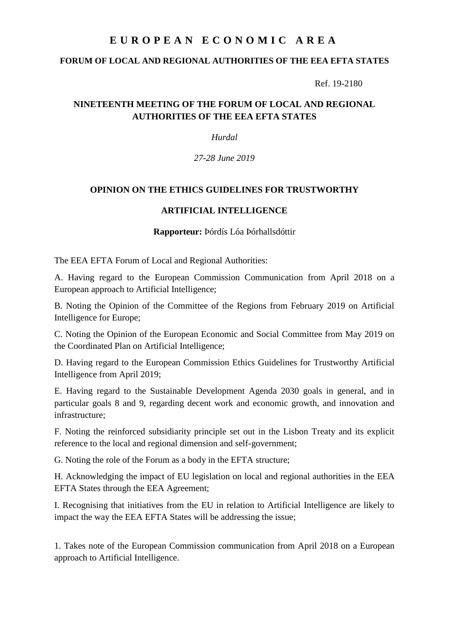# **E U R O P E A N E C O N O M I C A R E A**

### **FORUM OF LOCAL AND REGIONAL AUTHORITIES OF THE EEA EFTA STATES**

Ref. 19-2180

## **NINETEENTH MEETING OF THE FORUM OF LOCAL AND REGIONAL AUTHORITIES OF THE EEA EFTA STATES**

*Hurdal*

*27-28 June 2019*

### **OPINION ON THE ETHICS GUIDELINES FOR TRUSTWORTHY**

### **ARTIFICIAL INTELLIGENCE**

**Rapporteur:** Þórdís Lóa Þórhallsdóttir

The EEA EFTA Forum of Local and Regional Authorities:

A. Having regard to the European Commission [Communication](https://ec.europa.eu/digital-single-market/news-redirect/624220) from April 2018 on a European approach to Artificial Intelligence;

B. Noting the Opinion of the Committee of the Regions from February 2019 on Artificial Intelligence for Europe;

C. Noting the Opinion of the European Economic and Social Committee from May 2019 on the Coordinated Plan on Artificial Intelligence;

D. Having regard to the European Commission [Ethics Guidelines for Trustworthy Artificial](https://ec.europa.eu/futurium/en/ai-alliance-consultation/guidelines#Top)  [Intelligence](https://ec.europa.eu/futurium/en/ai-alliance-consultation/guidelines#Top) from April 2019;

E. Having regard to the Sustainable Development Agenda 2030 goals in general, and in particular goals 8 and 9, regarding decent work and economic growth, and innovation and infrastructure;

F. Noting the reinforced subsidiarity principle set out in the Lisbon Treaty and its explicit reference to the local and regional dimension and self-government;

G. Noting the role of the Forum as a body in the EFTA structure;

H. Acknowledging the impact of EU legislation on local and regional authorities in the EEA EFTA States through the EEA Agreement;

I. Recognising that initiatives from the EU in relation to Artificial Intelligence are likely to impact the way the EEA EFTA States will be addressing the issue;

1. Takes note of the European Commission [communication](https://ec.europa.eu/digital-single-market/news-redirect/624220) from April 2018 on a European approach to Artificial Intelligence.